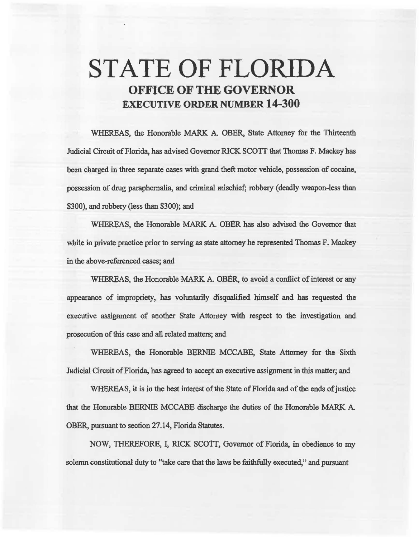# STATE OF FLORIDA OFFICE OF THE GOVERNOR EXECUTIVE ORDER NUMBER 14-300

WHEREAS, the Honorable MARK A. OBER, State Attomey for the Thirteenth Judicial Circuit of Florida, has advised Governor RICK SCOIT that Thomas F. Mackey has been charged in three separate cases with grand theft motor vehicle, possession of cocaine, possession of drug paraphernalia, and criminal mischief; robbery (deadly weapon-less than \$300), and robbery (less than \$300); and

WHEREAS, the Honorable MARK A. OBER has also advised the Governor that whiie in private practice prior to serving as state attorney he represented Thomas F. Mackey in the above-referenced cases; and

WHEREAS, the Honorable MARK A. OBER, to avoid a conflict of interest or any appearance of impropriety, has voluntarily disqualified himself and has requested the executive assignment of another State Attorney with respect to the investigation and prosecution of this case and all related matters; and

WHEREAS, the Honorable BERNIE MCCABE, State Attorney for the Sixth Judicial Circuit of Florida, has agreed to accept an executive assignment in this matter; and

WHEREAS, it is in the best interest of the State of Florida and of the ends of justice that the Honorable BERNIE MCCABE discharge 1he duties of the Honorable MARK A. OBER, pursuant to section 27.14, Florida Statutes.

NOW, THEREFORE, I, RICK SCOTT, Governor of Florida, in obedience to my solemn constitutional duty to "take care that the laws be faithfully executed," and pursuant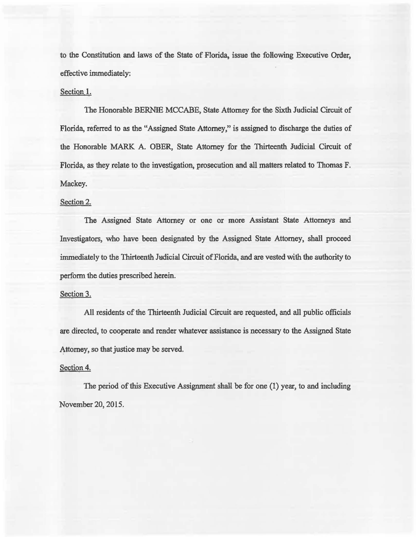to the Constitution and laws of the State of Florida, issue the following Executive Order, effective immediately:

# Section I.

The Honorable BERNIE MCCABE, State Attorney for the Sixth Judicial Circuit of Florida, referred to as the "Assigned State Attorney," is assigned to discharge the duties of the Honorable MARK A. OBER, State Attorney for the Thirteenth Judicial Circuit of Florida, as they relate to the investigation, prosecution and all matters related to Thomas F. Mackey.

## Section 2.

The Assigned State Attorney or one or more Assistant State Attorneys and Investigators, who have been designated by the Assigned State Attorney, shall proceed immediately to the Thirteenth Judicial Circuit of Florida, and are vested with the authority to perform the duties prescribed herein.

#### Section 3.

All residents of the Thirteenth Judicial Circuit are reqaested, and all public officials are directed, to cooperate and render whatever assistance is necessary to the Assigned State Attorney, so that justice may be served.

# Section 4.

The period of this Executive Assignment shall be for one  $(1)$  year, to and including November 20, 2015.